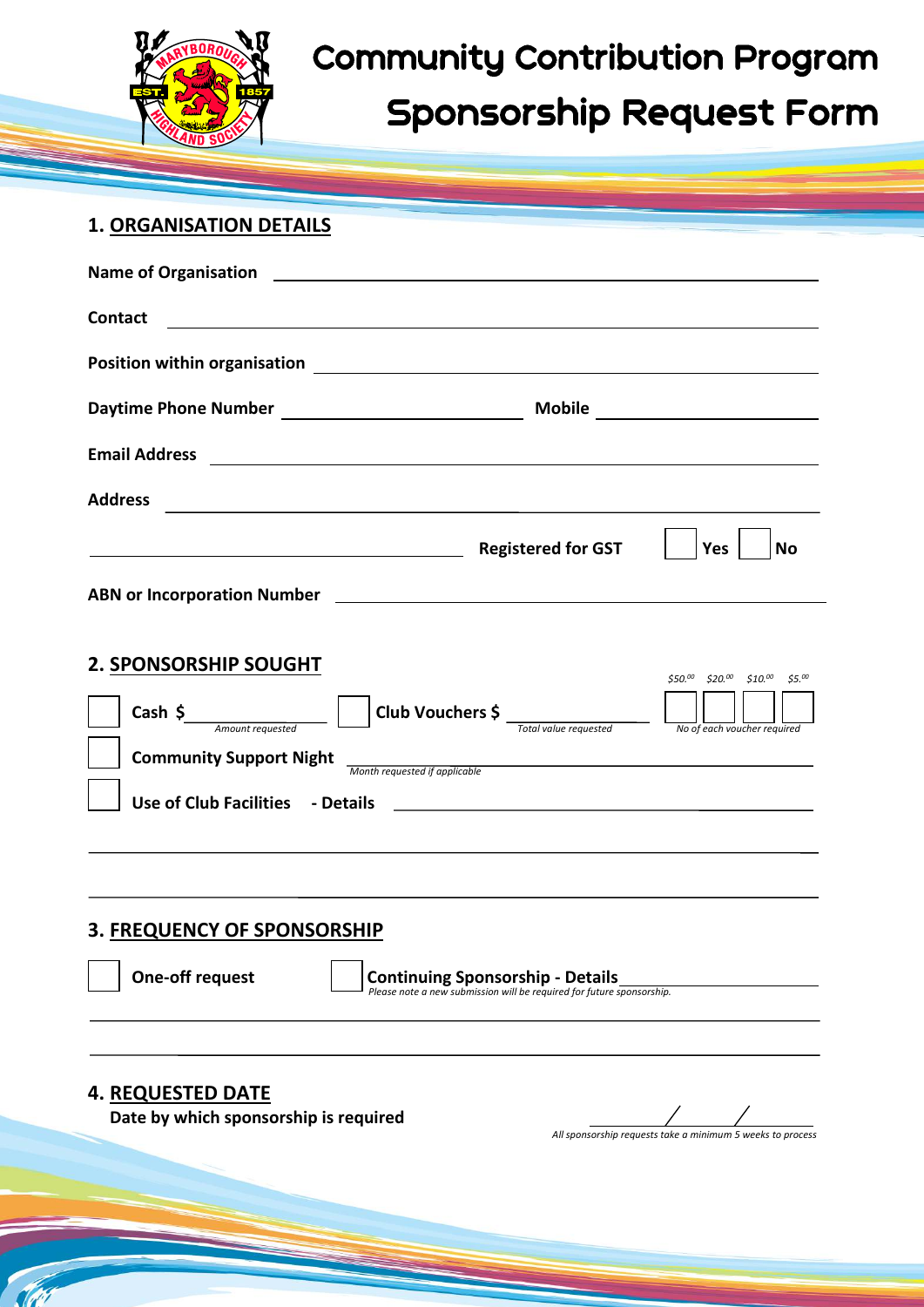

# **Community Contribution Program Sponsorship Request Form**

# **1. ORGANISATION DETAILS**

| Name of Organisation 2008 2009 2010 2021 2022 2023 2024 2022 2023 2024 2022 2023 2024 2022 2023 2024 2022 2023 |                                                                                                                       |
|----------------------------------------------------------------------------------------------------------------|-----------------------------------------------------------------------------------------------------------------------|
| <b>Contact</b>                                                                                                 | <u> 1989 - Johann Stoff, deutscher Stoff, der Stoff, der Stoff, der Stoff, der Stoff, der Stoff, der Stoff, der S</u> |
|                                                                                                                |                                                                                                                       |
|                                                                                                                |                                                                                                                       |
| <b>Email Address</b>                                                                                           |                                                                                                                       |
| <b>Address</b>                                                                                                 | <u> 1989 - Johann Stoff, deutscher Stoff, der Stoff, der Stoff, der Stoff, der Stoff, der Stoff, der Stoff, der S</u> |
|                                                                                                                | Yes<br><b>No</b>                                                                                                      |
|                                                                                                                |                                                                                                                       |
|                                                                                                                |                                                                                                                       |
| 2. SPONSORSHIP SOUGHT                                                                                          | \$50.00 \$20.00 \$10.00 \$5.00                                                                                        |
| Cash $\frac{2}{\sqrt{2}}$ Amount requested                                                                     | Club Vouchers \$<br>No of each voucher required<br>Total value requested                                              |
| <b>Community Support Night</b>                                                                                 | Month requested if applicable<br>Month requested if applicable                                                        |
|                                                                                                                |                                                                                                                       |
|                                                                                                                |                                                                                                                       |
|                                                                                                                |                                                                                                                       |
| <b>3. FREQUENCY OF SPONSORSHIP</b>                                                                             |                                                                                                                       |
| <b>One-off request</b>                                                                                         | <b>Continuing Sponsorship - Details</b><br>Please note a new submission will be required for future sponsorship.      |
|                                                                                                                |                                                                                                                       |
|                                                                                                                |                                                                                                                       |
| <b>4. REQUESTED DATE</b><br>Date by which sponsorship is required                                              |                                                                                                                       |
|                                                                                                                | All sponsorship requests take a minimum 5 weeks to process                                                            |
|                                                                                                                |                                                                                                                       |
|                                                                                                                |                                                                                                                       |